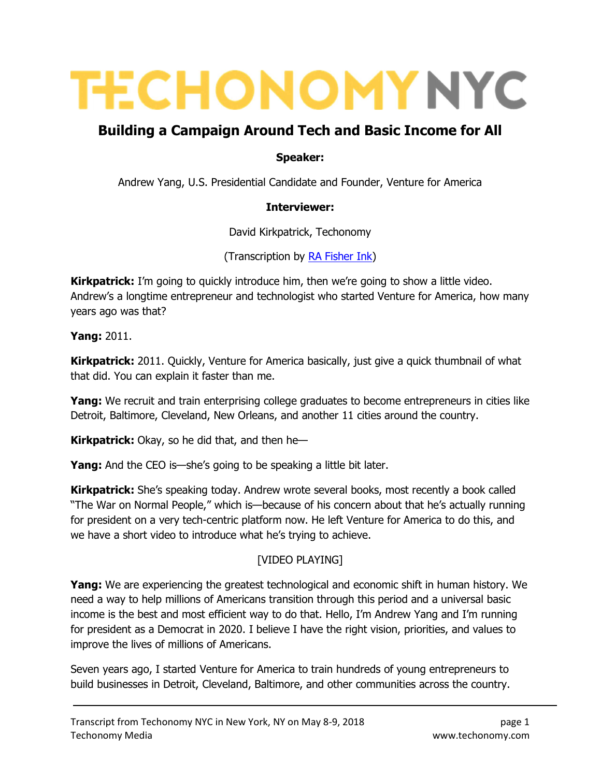# **TECHONOMY NYC**

# Building a Campaign Around Tech and Basic Income for All

#### Speaker:

Andrew Yang, U.S. Presidential Candidate and Founder, Venture for America

#### Interviewer:

David Kirkpatrick, Techonomy

(Transcription by RA Fisher Ink)

**Kirkpatrick:** I'm going to quickly introduce him, then we're going to show a little video. Andrew's a longtime entrepreneur and technologist who started Venture for America, how many years ago was that?

Yang: 2011.

**Kirkpatrick:** 2011. Quickly, Venture for America basically, just give a quick thumbnail of what that did. You can explain it faster than me.

**Yang:** We recruit and train enterprising college graduates to become entrepreneurs in cities like Detroit, Baltimore, Cleveland, New Orleans, and another 11 cities around the country.

**Kirkpatrick:** Okay, so he did that, and then he-

**Yang:** And the CEO is—she's going to be speaking a little bit later.

**Kirkpatrick:** She's speaking today. Andrew wrote several books, most recently a book called "The War on Normal People," which is—because of his concern about that he's actually running for president on a very tech-centric platform now. He left Venture for America to do this, and we have a short video to introduce what he's trying to achieve.

## [VIDEO PLAYING]

**Yang:** We are experiencing the greatest technological and economic shift in human history. We need a way to help millions of Americans transition through this period and a universal basic income is the best and most efficient way to do that. Hello, I'm Andrew Yang and I'm running for president as a Democrat in 2020. I believe I have the right vision, priorities, and values to improve the lives of millions of Americans.

Seven years ago, I started Venture for America to train hundreds of young entrepreneurs to build businesses in Detroit, Cleveland, Baltimore, and other communities across the country.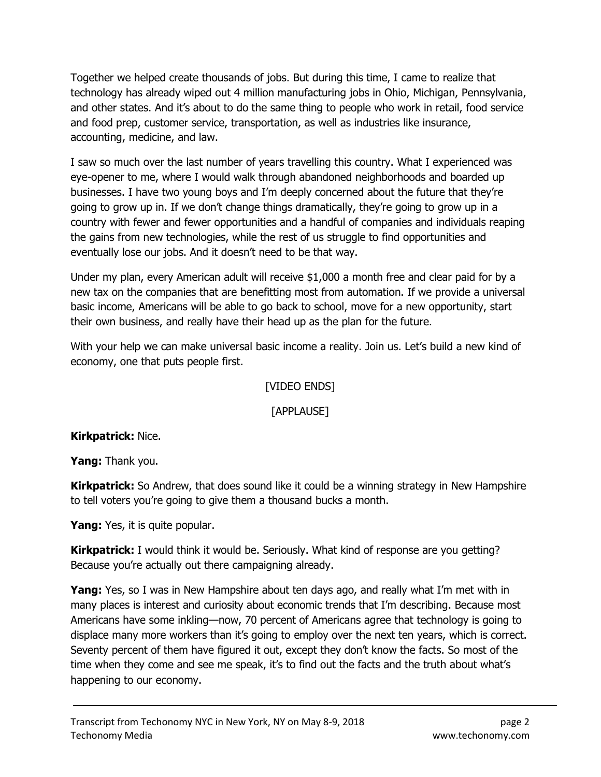Together we helped create thousands of jobs. But during this time, I came to realize that technology has already wiped out 4 million manufacturing jobs in Ohio, Michigan, Pennsylvania, and other states. And it's about to do the same thing to people who work in retail, food service and food prep, customer service, transportation, as well as industries like insurance, accounting, medicine, and law.

I saw so much over the last number of years travelling this country. What I experienced was eye-opener to me, where I would walk through abandoned neighborhoods and boarded up businesses. I have two young boys and I'm deeply concerned about the future that they're going to grow up in. If we don't change things dramatically, they're going to grow up in a country with fewer and fewer opportunities and a handful of companies and individuals reaping the gains from new technologies, while the rest of us struggle to find opportunities and eventually lose our jobs. And it doesn't need to be that way.

Under my plan, every American adult will receive \$1,000 a month free and clear paid for by a new tax on the companies that are benefitting most from automation. If we provide a universal basic income, Americans will be able to go back to school, move for a new opportunity, start their own business, and really have their head up as the plan for the future.

With your help we can make universal basic income a reality. Join us. Let's build a new kind of economy, one that puts people first.

#### [VIDEO ENDS]

#### [APPLAUSE]

#### Kirkpatrick: Nice.

Yang: Thank you.

Kirkpatrick: So Andrew, that does sound like it could be a winning strategy in New Hampshire to tell voters you're going to give them a thousand bucks a month.

Yang: Yes, it is quite popular.

Kirkpatrick: I would think it would be. Seriously. What kind of response are you getting? Because you're actually out there campaigning already.

**Yang:** Yes, so I was in New Hampshire about ten days ago, and really what I'm met with in many places is interest and curiosity about economic trends that I'm describing. Because most Americans have some inkling—now, 70 percent of Americans agree that technology is going to displace many more workers than it's going to employ over the next ten years, which is correct. Seventy percent of them have figured it out, except they don't know the facts. So most of the time when they come and see me speak, it's to find out the facts and the truth about what's happening to our economy.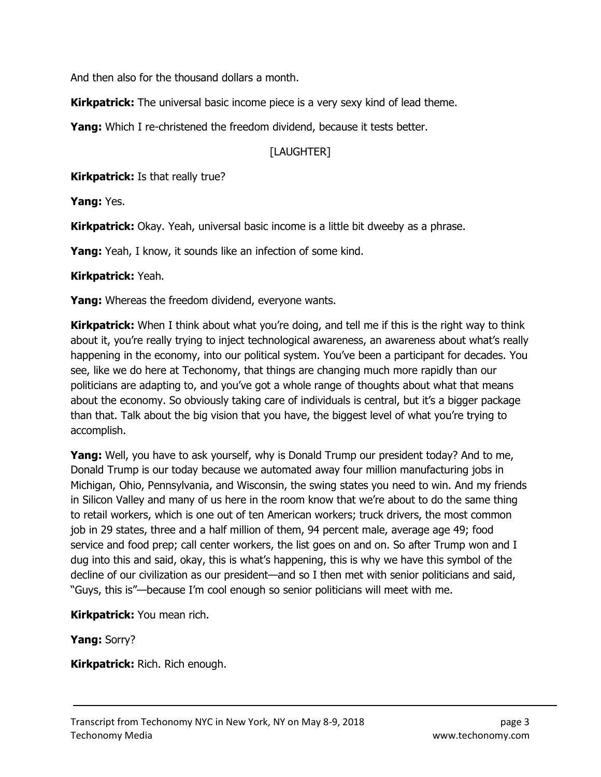And then also for the thousand dollars a month.

**Kirkpatrick:** The universal basic income piece is a very sexy kind of lead theme.

**Yang:** Which I re-christened the freedom dividend, because it tests better.

#### [LAUGHTER]

**Kirkpatrick:** Is that really true?

Yang: Yes.

Kirkpatrick: Okay. Yeah, universal basic income is a little bit dweeby as a phrase.

**Yang:** Yeah, I know, it sounds like an infection of some kind.

Kirkpatrick: Yeah.

**Yang:** Whereas the freedom dividend, everyone wants.

**Kirkpatrick:** When I think about what you're doing, and tell me if this is the right way to think about it, you're really trying to inject technological awareness, an awareness about what's really happening in the economy, into our political system. You've been a participant for decades. You see, like we do here at Techonomy, that things are changing much more rapidly than our politicians are adapting to, and you've got a whole range of thoughts about what that means about the economy. So obviously taking care of individuals is central, but it's a bigger package than that. Talk about the big vision that you have, the biggest level of what you're trying to accomplish.

**Yang:** Well, you have to ask yourself, why is Donald Trump our president today? And to me, Donald Trump is our today because we automated away four million manufacturing jobs in Michigan, Ohio, Pennsylvania, and Wisconsin, the swing states you need to win. And my friends in Silicon Valley and many of us here in the room know that we're about to do the same thing to retail workers, which is one out of ten American workers; truck drivers, the most common job in 29 states, three and a half million of them, 94 percent male, average age 49; food service and food prep; call center workers, the list goes on and on. So after Trump won and I dug into this and said, okay, this is what's happening, this is why we have this symbol of the decline of our civilization as our president—and so I then met with senior politicians and said, "Guys, this is"—because I'm cool enough so senior politicians will meet with me.

Kirkpatrick: You mean rich.

Yang: Sorry?

Kirkpatrick: Rich. Rich enough.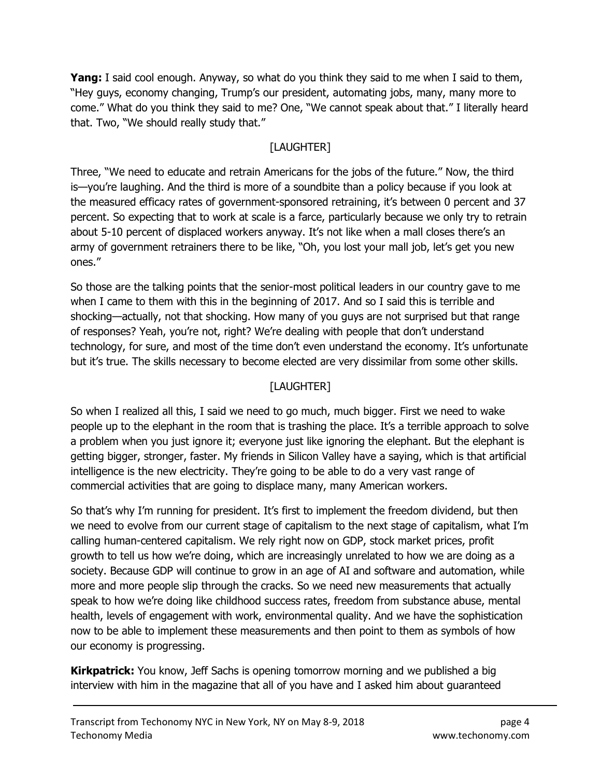**Yang:** I said cool enough. Anyway, so what do you think they said to me when I said to them, "Hey guys, economy changing, Trump's our president, automating jobs, many, many more to come." What do you think they said to me? One, "We cannot speak about that." I literally heard that. Two, "We should really study that."

# [LAUGHTER]

Three, "We need to educate and retrain Americans for the jobs of the future." Now, the third is—you're laughing. And the third is more of a soundbite than a policy because if you look at the measured efficacy rates of government-sponsored retraining, it's between 0 percent and 37 percent. So expecting that to work at scale is a farce, particularly because we only try to retrain about 5-10 percent of displaced workers anyway. It's not like when a mall closes there's an army of government retrainers there to be like, "Oh, you lost your mall job, let's get you new ones."

So those are the talking points that the senior-most political leaders in our country gave to me when I came to them with this in the beginning of 2017. And so I said this is terrible and shocking—actually, not that shocking. How many of you guys are not surprised but that range of responses? Yeah, you're not, right? We're dealing with people that don't understand technology, for sure, and most of the time don't even understand the economy. It's unfortunate but it's true. The skills necessary to become elected are very dissimilar from some other skills.

# [LAUGHTER]

So when I realized all this, I said we need to go much, much bigger. First we need to wake people up to the elephant in the room that is trashing the place. It's a terrible approach to solve a problem when you just ignore it; everyone just like ignoring the elephant. But the elephant is getting bigger, stronger, faster. My friends in Silicon Valley have a saying, which is that artificial intelligence is the new electricity. They're going to be able to do a very vast range of commercial activities that are going to displace many, many American workers.

So that's why I'm running for president. It's first to implement the freedom dividend, but then we need to evolve from our current stage of capitalism to the next stage of capitalism, what I'm calling human-centered capitalism. We rely right now on GDP, stock market prices, profit growth to tell us how we're doing, which are increasingly unrelated to how we are doing as a society. Because GDP will continue to grow in an age of AI and software and automation, while more and more people slip through the cracks. So we need new measurements that actually speak to how we're doing like childhood success rates, freedom from substance abuse, mental health, levels of engagement with work, environmental quality. And we have the sophistication now to be able to implement these measurements and then point to them as symbols of how our economy is progressing.

**Kirkpatrick:** You know, Jeff Sachs is opening tomorrow morning and we published a big interview with him in the magazine that all of you have and I asked him about guaranteed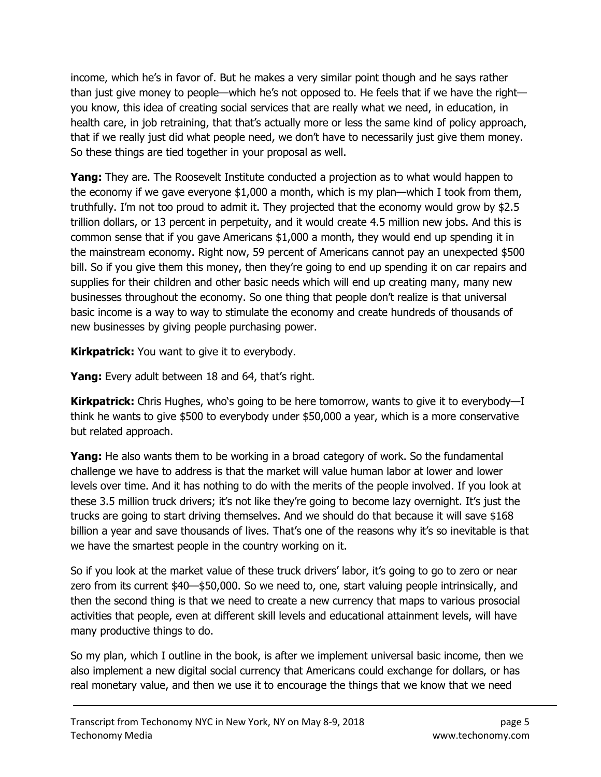income, which he's in favor of. But he makes a very similar point though and he says rather than just give money to people—which he's not opposed to. He feels that if we have the right you know, this idea of creating social services that are really what we need, in education, in health care, in job retraining, that that's actually more or less the same kind of policy approach, that if we really just did what people need, we don't have to necessarily just give them money. So these things are tied together in your proposal as well.

Yang: They are. The Roosevelt Institute conducted a projection as to what would happen to the economy if we gave everyone \$1,000 a month, which is my plan—which I took from them, truthfully. I'm not too proud to admit it. They projected that the economy would grow by \$2.5 trillion dollars, or 13 percent in perpetuity, and it would create 4.5 million new jobs. And this is common sense that if you gave Americans \$1,000 a month, they would end up spending it in the mainstream economy. Right now, 59 percent of Americans cannot pay an unexpected \$500 bill. So if you give them this money, then they're going to end up spending it on car repairs and supplies for their children and other basic needs which will end up creating many, many new businesses throughout the economy. So one thing that people don't realize is that universal basic income is a way to way to stimulate the economy and create hundreds of thousands of new businesses by giving people purchasing power.

**Kirkpatrick:** You want to give it to everybody.

Yang: Every adult between 18 and 64, that's right.

**Kirkpatrick:** Chris Hughes, who's going to be here tomorrow, wants to give it to everybody—I think he wants to give \$500 to everybody under \$50,000 a year, which is a more conservative but related approach.

**Yang:** He also wants them to be working in a broad category of work. So the fundamental challenge we have to address is that the market will value human labor at lower and lower levels over time. And it has nothing to do with the merits of the people involved. If you look at these 3.5 million truck drivers; it's not like they're going to become lazy overnight. It's just the trucks are going to start driving themselves. And we should do that because it will save \$168 billion a year and save thousands of lives. That's one of the reasons why it's so inevitable is that we have the smartest people in the country working on it.

So if you look at the market value of these truck drivers' labor, it's going to go to zero or near zero from its current \$40—\$50,000. So we need to, one, start valuing people intrinsically, and then the second thing is that we need to create a new currency that maps to various prosocial activities that people, even at different skill levels and educational attainment levels, will have many productive things to do.

So my plan, which I outline in the book, is after we implement universal basic income, then we also implement a new digital social currency that Americans could exchange for dollars, or has real monetary value, and then we use it to encourage the things that we know that we need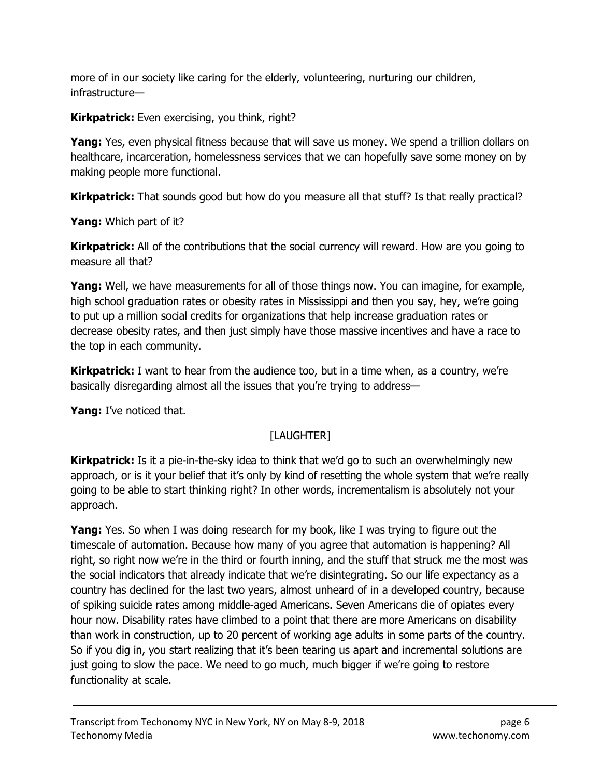more of in our society like caring for the elderly, volunteering, nurturing our children, infrastructure—

**Kirkpatrick:** Even exercising, you think, right?

**Yang:** Yes, even physical fitness because that will save us money. We spend a trillion dollars on healthcare, incarceration, homelessness services that we can hopefully save some money on by making people more functional.

**Kirkpatrick:** That sounds good but how do you measure all that stuff? Is that really practical?

**Yang:** Which part of it?

**Kirkpatrick:** All of the contributions that the social currency will reward. How are you going to measure all that?

Yang: Well, we have measurements for all of those things now. You can imagine, for example, high school graduation rates or obesity rates in Mississippi and then you say, hey, we're going to put up a million social credits for organizations that help increase graduation rates or decrease obesity rates, and then just simply have those massive incentives and have a race to the top in each community.

**Kirkpatrick:** I want to hear from the audience too, but in a time when, as a country, we're basically disregarding almost all the issues that you're trying to address—

Yang: I've noticed that.

# [LAUGHTER]

**Kirkpatrick:** Is it a pie-in-the-sky idea to think that we'd go to such an overwhelmingly new approach, or is it your belief that it's only by kind of resetting the whole system that we're really going to be able to start thinking right? In other words, incrementalism is absolutely not your approach.

**Yang:** Yes. So when I was doing research for my book, like I was trying to figure out the timescale of automation. Because how many of you agree that automation is happening? All right, so right now we're in the third or fourth inning, and the stuff that struck me the most was the social indicators that already indicate that we're disintegrating. So our life expectancy as a country has declined for the last two years, almost unheard of in a developed country, because of spiking suicide rates among middle-aged Americans. Seven Americans die of opiates every hour now. Disability rates have climbed to a point that there are more Americans on disability than work in construction, up to 20 percent of working age adults in some parts of the country. So if you dig in, you start realizing that it's been tearing us apart and incremental solutions are just going to slow the pace. We need to go much, much bigger if we're going to restore functionality at scale.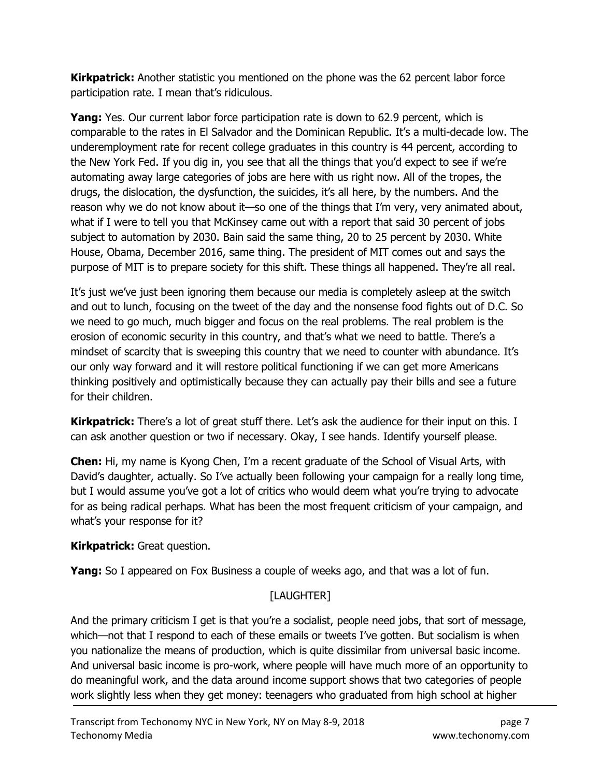**Kirkpatrick:** Another statistic you mentioned on the phone was the 62 percent labor force participation rate. I mean that's ridiculous.

**Yang:** Yes. Our current labor force participation rate is down to 62.9 percent, which is comparable to the rates in El Salvador and the Dominican Republic. It's a multi-decade low. The underemployment rate for recent college graduates in this country is 44 percent, according to the New York Fed. If you dig in, you see that all the things that you'd expect to see if we're automating away large categories of jobs are here with us right now. All of the tropes, the drugs, the dislocation, the dysfunction, the suicides, it's all here, by the numbers. And the reason why we do not know about it—so one of the things that I'm very, very animated about, what if I were to tell you that McKinsey came out with a report that said 30 percent of jobs subject to automation by 2030. Bain said the same thing, 20 to 25 percent by 2030. White House, Obama, December 2016, same thing. The president of MIT comes out and says the purpose of MIT is to prepare society for this shift. These things all happened. They're all real.

It's just we've just been ignoring them because our media is completely asleep at the switch and out to lunch, focusing on the tweet of the day and the nonsense food fights out of D.C. So we need to go much, much bigger and focus on the real problems. The real problem is the erosion of economic security in this country, and that's what we need to battle. There's a mindset of scarcity that is sweeping this country that we need to counter with abundance. It's our only way forward and it will restore political functioning if we can get more Americans thinking positively and optimistically because they can actually pay their bills and see a future for their children.

**Kirkpatrick:** There's a lot of great stuff there. Let's ask the audience for their input on this. I can ask another question or two if necessary. Okay, I see hands. Identify yourself please.

Chen: Hi, my name is Kyong Chen, I'm a recent graduate of the School of Visual Arts, with David's daughter, actually. So I've actually been following your campaign for a really long time, but I would assume you've got a lot of critics who would deem what you're trying to advocate for as being radical perhaps. What has been the most frequent criticism of your campaign, and what's your response for it?

## Kirkpatrick: Great question.

**Yang:** So I appeared on Fox Business a couple of weeks ago, and that was a lot of fun.

## [LAUGHTER]

And the primary criticism I get is that you're a socialist, people need jobs, that sort of message, which—not that I respond to each of these emails or tweets I've gotten. But socialism is when you nationalize the means of production, which is quite dissimilar from universal basic income. And universal basic income is pro-work, where people will have much more of an opportunity to do meaningful work, and the data around income support shows that two categories of people work slightly less when they get money: teenagers who graduated from high school at higher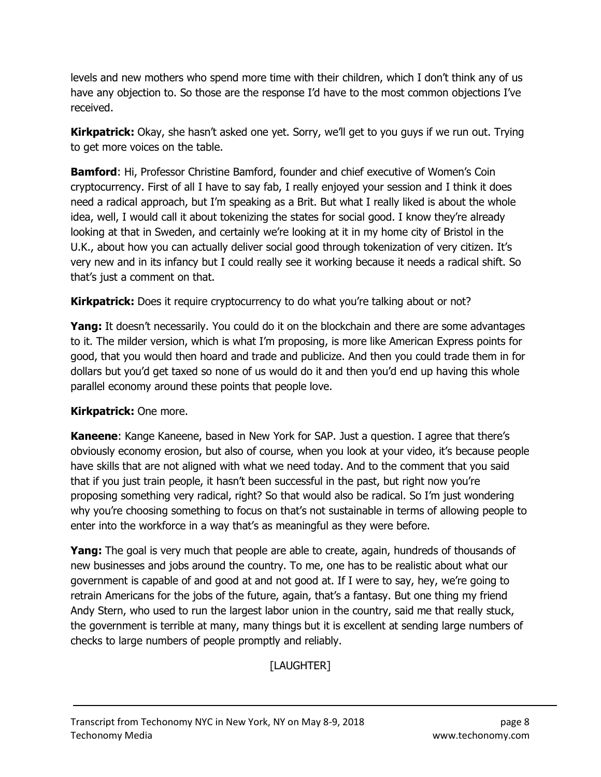levels and new mothers who spend more time with their children, which I don't think any of us have any objection to. So those are the response I'd have to the most common objections I've received.

**Kirkpatrick:** Okay, she hasn't asked one yet. Sorry, we'll get to you guys if we run out. Trying to get more voices on the table.

Bamford: Hi, Professor Christine Bamford, founder and chief executive of Women's Coin cryptocurrency. First of all I have to say fab, I really enjoyed your session and I think it does need a radical approach, but I'm speaking as a Brit. But what I really liked is about the whole idea, well, I would call it about tokenizing the states for social good. I know they're already looking at that in Sweden, and certainly we're looking at it in my home city of Bristol in the U.K., about how you can actually deliver social good through tokenization of very citizen. It's very new and in its infancy but I could really see it working because it needs a radical shift. So that's just a comment on that.

Kirkpatrick: Does it require cryptocurrency to do what you're talking about or not?

**Yang:** It doesn't necessarily. You could do it on the blockchain and there are some advantages to it. The milder version, which is what I'm proposing, is more like American Express points for good, that you would then hoard and trade and publicize. And then you could trade them in for dollars but you'd get taxed so none of us would do it and then you'd end up having this whole parallel economy around these points that people love.

#### Kirkpatrick: One more.

Kaneene: Kange Kaneene, based in New York for SAP. Just a question. I agree that there's obviously economy erosion, but also of course, when you look at your video, it's because people have skills that are not aligned with what we need today. And to the comment that you said that if you just train people, it hasn't been successful in the past, but right now you're proposing something very radical, right? So that would also be radical. So I'm just wondering why you're choosing something to focus on that's not sustainable in terms of allowing people to enter into the workforce in a way that's as meaningful as they were before.

**Yang:** The goal is very much that people are able to create, again, hundreds of thousands of new businesses and jobs around the country. To me, one has to be realistic about what our government is capable of and good at and not good at. If I were to say, hey, we're going to retrain Americans for the jobs of the future, again, that's a fantasy. But one thing my friend Andy Stern, who used to run the largest labor union in the country, said me that really stuck, the government is terrible at many, many things but it is excellent at sending large numbers of checks to large numbers of people promptly and reliably.

[LAUGHTER]